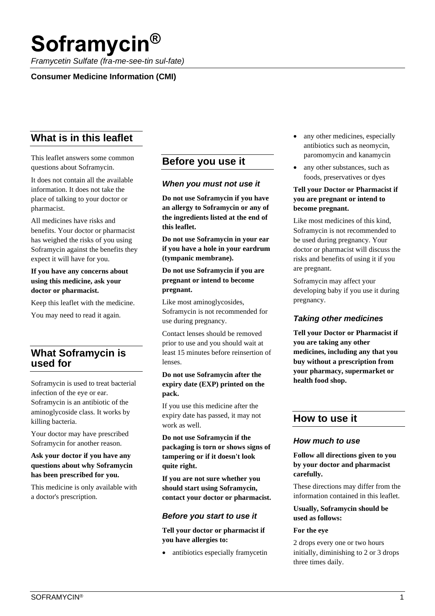# **Soframycin®**

*Framycetin Sulfate (fra-me-see-tin sul-fate)*

## **Consumer Medicine Information (CMI)**

# **What is in this leaflet**

This leaflet answers some common questions about Soframycin.

It does not contain all the available information. It does not take the place of talking to your doctor or pharmacist.

All medicines have risks and benefits. Your doctor or pharmacist has weighed the risks of you using Soframycin against the benefits they expect it will have for you.

#### **If you have any concerns about using this medicine, ask your doctor or pharmacist.**

Keep this leaflet with the medicine.

You may need to read it again.

# **What Soframycin is used for**

Soframycin is used to treat bacterial infection of the eye or ear. Soframycin is an antibiotic of the aminoglycoside class. It works by killing bacteria.

Your doctor may have prescribed Soframycin for another reason.

#### **Ask your doctor if you have any questions about why Soframycin has been prescribed for you.**

This medicine is only available with a doctor's prescription.

# **Before you use it**

#### *When you must not use it*

**Do not use Soframycin if you have an allergy to Soframycin or any of the ingredients listed at the end of this leaflet.** 

**Do not use Soframycin in your ear if you have a hole in your eardrum (tympanic membrane).** 

#### **Do not use Soframycin if you are pregnant or intend to become pregnant.**

Like most aminoglycosides, Soframycin is not recommended for use during pregnancy.

Contact lenses should be removed prior to use and you should wait at least 15 minutes before reinsertion of lenses.

#### **Do not use Soframycin after the expiry date (EXP) printed on the pack.**

If you use this medicine after the expiry date has passed, it may not work as well.

**Do not use Soframycin if the packaging is torn or shows signs of tampering or if it doesn't look quite right.** 

**If you are not sure whether you should start using Soframycin, contact your doctor or pharmacist.** 

# *Before you start to use it*

**Tell your doctor or pharmacist if you have allergies to:** 

• antibiotics especially framycetin

- any other medicines, especially antibiotics such as neomycin, paromomycin and kanamycin
- any other substances, such as foods, preservatives or dyes

#### **Tell your Doctor or Pharmacist if you are pregnant or intend to become pregnant.**

Like most medicines of this kind, Soframycin is not recommended to be used during pregnancy. Your doctor or pharmacist will discuss the risks and benefits of using it if you are pregnant.

Soframycin may affect your developing baby if you use it during pregnancy.

# *Taking other medicines*

**Tell your Doctor or Pharmacist if you are taking any other medicines, including any that you buy without a prescription from your pharmacy, supermarket or health food shop.** 

# **How to use it**

#### *How much to use*

**Follow all directions given to you by your doctor and pharmacist carefully.**

These directions may differ from the information contained in this leaflet.

#### **Usually, Soframycin should be used as follows:**

#### **For the eye**

2 drops every one or two hours initially, diminishing to 2 or 3 drops three times daily.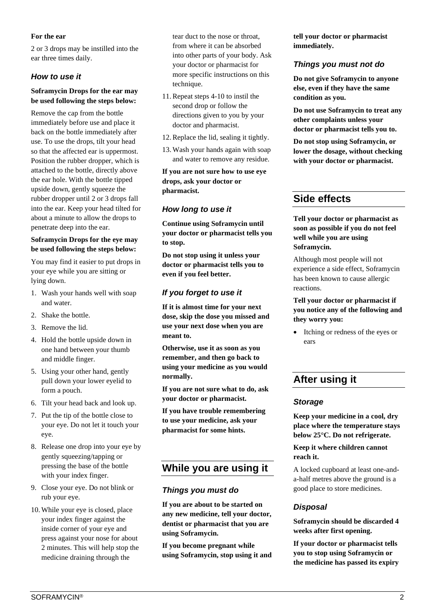#### **For the ear**

2 or 3 drops may be instilled into the ear three times daily.

#### *How to use it*

#### **Soframycin Drops for the ear may be used following the steps below:**

Remove the cap from the bottle immediately before use and place it back on the bottle immediately after use. To use the drops, tilt your head so that the affected ear is uppermost. Position the rubber dropper, which is attached to the bottle, directly above the ear hole. With the bottle tipped upside down, gently squeeze the rubber dropper until 2 or 3 drops fall into the ear. Keep your head tilted for about a minute to allow the drops to penetrate deep into the ear.

#### **Soframycin Drops for the eye may be used following the steps below:**

You may find it easier to put drops in your eye while you are sitting or lying down.

- 1. Wash your hands well with soap and water.
- 2. Shake the bottle.
- 3. Remove the lid.
- 4. Hold the bottle upside down in one hand between your thumb and middle finger.
- 5. Using your other hand, gently pull down your lower eyelid to form a pouch.
- 6. Tilt your head back and look up.
- 7. Put the tip of the bottle close to your eye. Do not let it touch your eye.
- 8. Release one drop into your eye by gently squeezing/tapping or pressing the base of the bottle with your index finger.
- 9. Close your eye. Do not blink or rub your eye.
- 10. While your eye is closed, place your index finger against the inside corner of your eye and press against your nose for about 2 minutes. This will help stop the medicine draining through the

tear duct to the nose or throat, from where it can be absorbed into other parts of your body. Ask your doctor or pharmacist for more specific instructions on this technique.

- 11.Repeat steps 4-10 to instil the second drop or follow the directions given to you by your doctor and pharmacist.
- 12.Replace the lid, sealing it tightly.
- 13. Wash your hands again with soap and water to remove any residue.

**If you are not sure how to use eye drops, ask your doctor or pharmacist.**

# *How long to use it*

**Continue using Soframycin until your doctor or pharmacist tells you to stop.**

**Do not stop using it unless your doctor or pharmacist tells you to even if you feel better.**

# *If you forget to use it*

**If it is almost time for your next dose, skip the dose you missed and use your next dose when you are meant to.**

**Otherwise, use it as soon as you remember, and then go back to using your medicine as you would normally.**

**If you are not sure what to do, ask your doctor or pharmacist.**

**If you have trouble remembering to use your medicine, ask your pharmacist for some hints.**

# **While you are using it**

# *Things you must do*

**If you are about to be started on any new medicine, tell your doctor, dentist or pharmacist that you are using Soframycin.** 

**If you become pregnant while using Soframycin, stop using it and**  **tell your doctor or pharmacist immediately.** 

#### *Things you must not do*

**Do not give Soframycin to anyone else, even if they have the same condition as you.** 

**Do not use Soframycin to treat any other complaints unless your doctor or pharmacist tells you to.** 

**Do not stop using Soframycin, or lower the dosage, without checking with your doctor or pharmacist.** 

# **Side effects**

**Tell your doctor or pharmacist as soon as possible if you do not feel well while you are using Soframycin.** 

Although most people will not experience a side effect, Soframycin has been known to cause allergic reactions.

**Tell your doctor or pharmacist if you notice any of the following and they worry you:** 

• Itching or redness of the eyes or ears

# **After using it**

#### *Storage*

**Keep your medicine in a cool, dry place where the temperature stays below 25°C. Do not refrigerate.**

**Keep it where children cannot reach it.** 

A locked cupboard at least one-anda-half metres above the ground is a good place to store medicines.

# *Disposal*

**Soframycin should be discarded 4 weeks after first opening.**

**If your doctor or pharmacist tells you to stop using Soframycin or the medicine has passed its expiry**